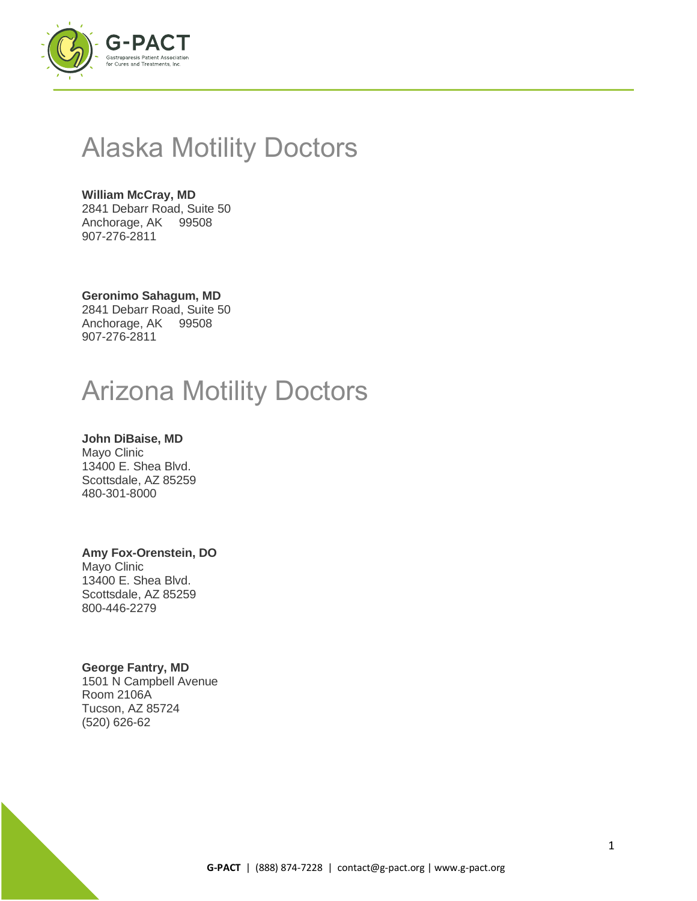

## Alaska Motility Doctors

#### **William McCray, MD** 2841 Debarr Road, Suite 50 Anchorage, AK 99508 907-276-2811

**Geronimo Sahagum, MD** 2841 Debarr Road, Suite 50 Anchorage, AK 99508 907-276-2811

## Arizona Motility Doctors

**John DiBaise, MD** Mayo Clinic 13400 E. Shea Blvd. Scottsdale, AZ 85259 480-301-8000

#### **Amy Fox-Orenstein, DO**

Mayo Clinic 13400 E. Shea Blvd. Scottsdale, AZ 85259 800-446-2279

### **George Fantry, MD**

1501 N Campbell Avenue Room 2106A Tucson, AZ 85724 (520) 626-62

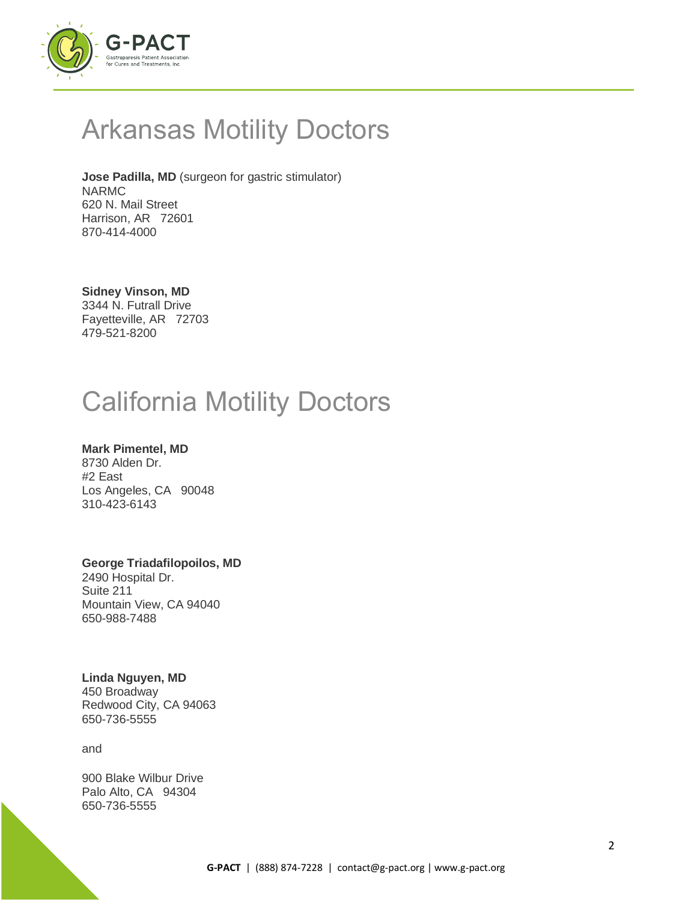

## Arkansas Motility Doctors

**Jose Padilla, MD** (surgeon for gastric stimulator) NARMC 620 N. Mail Street Harrison, AR 72601 870-414-4000

**Sidney Vinson, MD** 3344 N. Futrall Drive Fayetteville, AR 72703 479-521-8200

## California Motility Doctors

### **Mark Pimentel, MD**

8730 Alden Dr. #2 East Los Angeles, CA 90048 310-423-6143

### **George Triadafilopoilos, MD**

2490 Hospital Dr. Suite 211 Mountain View, CA 94040 650-988-7488

### **Linda Nguyen, MD**

450 Broadway Redwood City, CA 94063 650-736-5555

and

900 Blake Wilbur Drive Palo Alto, CA 94304 650-736-5555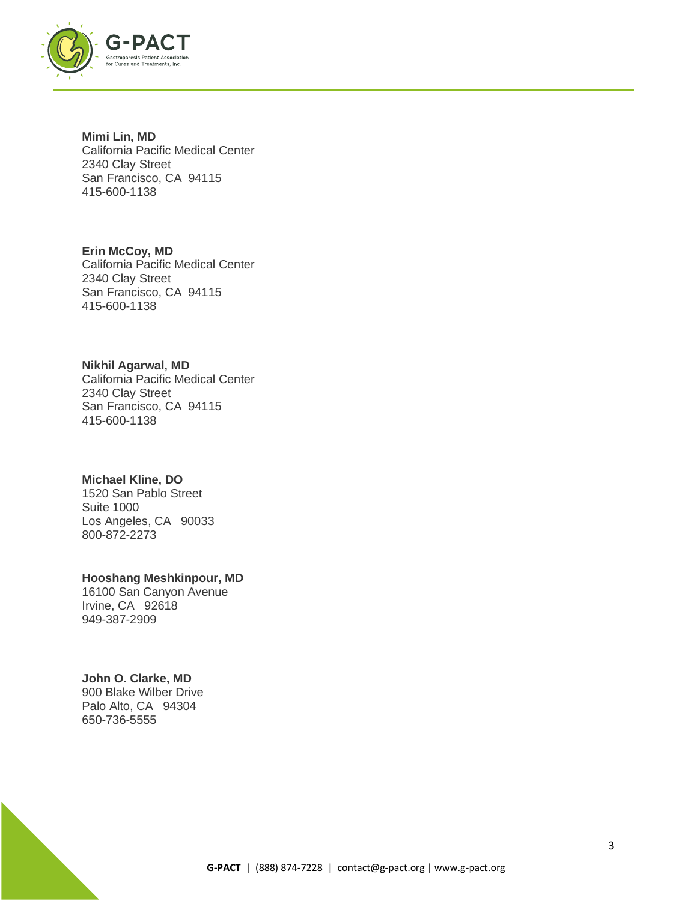

**Mimi Lin, MD** California Pacific Medical Center 2340 Clay Street San Francisco, CA 94115 415-600-1138

**Erin McCoy, MD** California Pacific Medical Center 2340 Clay Street San Francisco, CA 94115 415-600-1138

#### **Nikhil Agarwal, MD**

California Pacific Medical Center 2340 Clay Street San Francisco, CA 94115 415-600-1138

#### **Michael Kline, DO**

1520 San Pablo Street Suite 1000 Los Angeles, CA 90033 800-872-2273

#### **Hooshang Meshkinpour, MD**

16100 San Canyon Avenue Irvine, CA 92618 949-387-2909

#### **John O. Clarke, MD**

900 Blake Wilber Drive Palo Alto, CA 94304 650-736-5555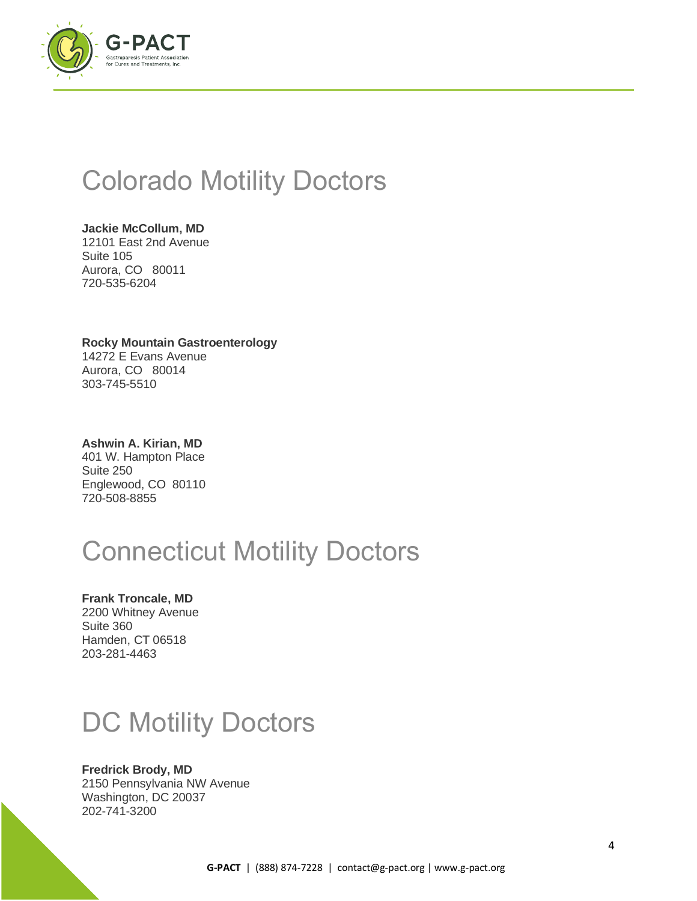

## Colorado Motility Doctors

**Jackie McCollum, MD** 12101 East 2nd Avenue Suite 105 Aurora, CO 80011 720-535-6204

**Rocky Mountain Gastroenterology** 14272 E Evans Avenue Aurora, CO 80014 303-745-5510

**Ashwin A. Kirian, MD** 401 W. Hampton Place Suite 250 Englewood, CO 80110 720-508-8855

# Connecticut Motility Doctors

**Frank Troncale, MD** 2200 Whitney Avenue Suite 360 Hamden, CT 06518 203-281-4463

# DC Motility Doctors

### **Fredrick Brody, MD**

2150 Pennsylvania NW Avenue Washington, DC 20037 202-741-3200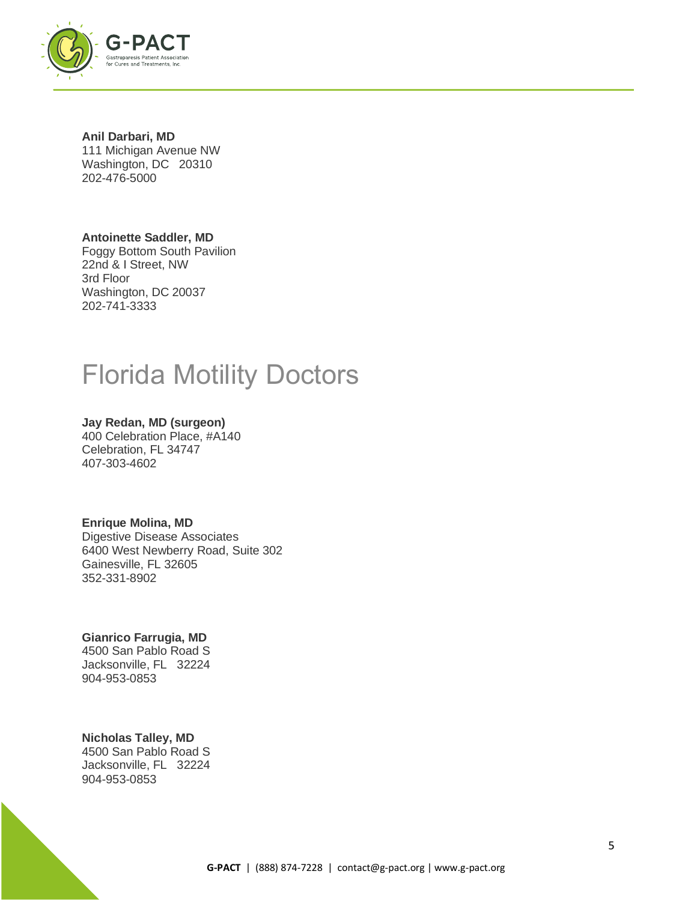

**Anil Darbari, MD** 111 Michigan Avenue NW Washington, DC 20310 202-476-5000

#### **Antoinette Saddler, MD**

Foggy Bottom South Pavilion 22nd & I Street, NW 3rd Floor Washington, DC 20037 202-741-3333

## Florida Motility Doctors

#### **Jay Redan, MD (surgeon)** 400 Celebration Place, #A140 Celebration, FL 34747 407-303-4602

#### **Enrique Molina, MD**

Digestive Disease Associates 6400 West Newberry Road, Suite 302 Gainesville, FL 32605 352-331-8902

#### **Gianrico Farrugia, MD** 4500 San Pablo Road S Jacksonville, FL 32224

904-953-0853

## **Nicholas Talley, MD**

4500 San Pablo Road S Jacksonville, FL 32224 904-953-0853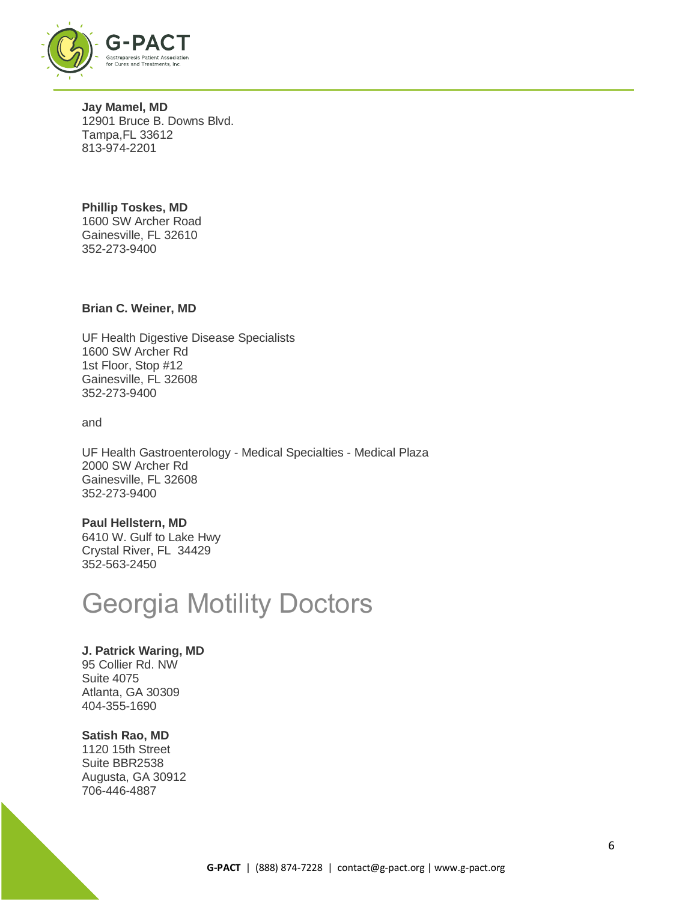

**Jay Mamel, MD** 12901 Bruce B. Downs Blvd. Tampa,FL 33612 813-974-2201

**Phillip Toskes, MD** 1600 SW Archer Road Gainesville, FL 32610 352-273-9400

#### **Brian C. Weiner, MD**

UF Health Digestive Disease Specialists 1600 SW Archer Rd 1st Floor, Stop #12 Gainesville, FL 32608 352-273-9400

and

UF Health Gastroenterology - Medical Specialties - Medical Plaza 2000 SW Archer Rd Gainesville, FL 32608 352-273-9400

#### **Paul Hellstern, MD**

6410 W. Gulf to Lake Hwy Crystal River, FL 34429 352-563-2450

## Georgia Motility Doctors

#### **J. Patrick Waring, MD**

95 Collier Rd. NW Suite 4075 Atlanta, GA 30309 404-355-1690

#### **Satish Rao, MD**

1120 15th Street Suite BBR2538 Augusta, GA 30912 706-446-4887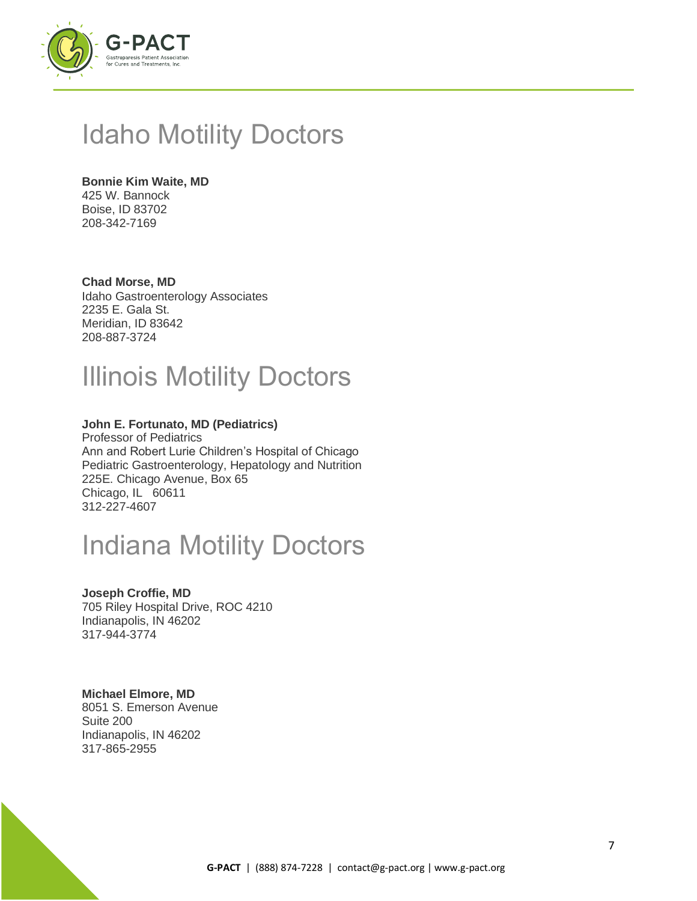

## Idaho Motility Doctors

### **Bonnie Kim Waite, MD**

425 W. Bannock Boise, ID 83702 208-342-7169

### **Chad Morse, MD**

Idaho Gastroenterology Associates 2235 E. Gala St. Meridian, ID 83642 208-887-3724

## Illinois Motility Doctors

### **John E. Fortunato, MD (Pediatrics)**

Professor of Pediatrics Ann and Robert Lurie Children's Hospital of Chicago Pediatric Gastroenterology, Hepatology and Nutrition 225E. Chicago Avenue, Box 65 Chicago, IL 60611 312-227-4607

## Indiana Motility Doctors

#### **Joseph Croffie, MD**

705 Riley Hospital Drive, ROC 4210 Indianapolis, IN 46202 317-944-3774

#### **Michael Elmore, MD**

8051 S. Emerson Avenue Suite 200 Indianapolis, IN 46202 317-865-2955

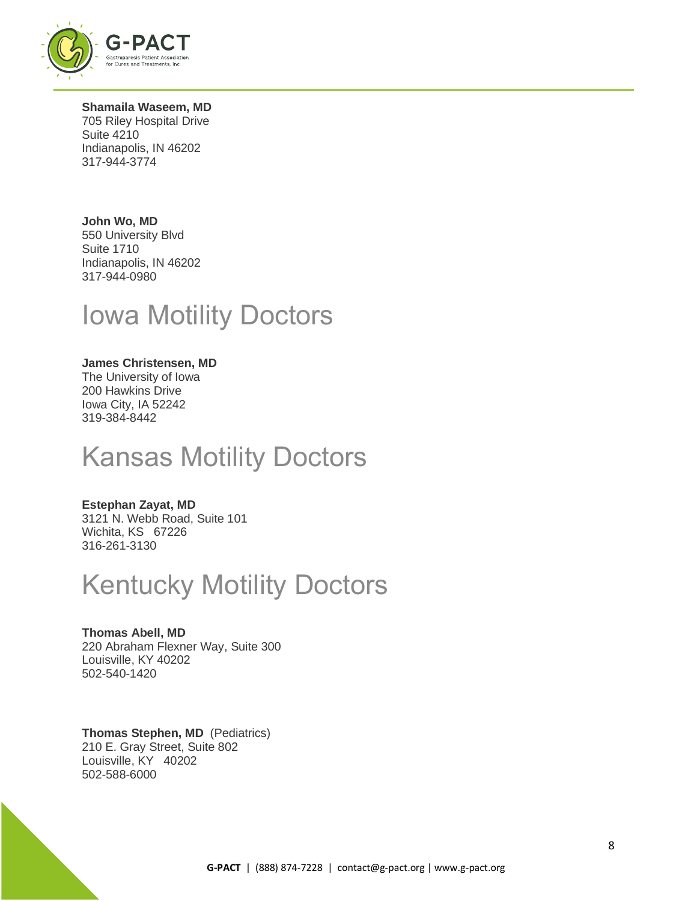

**Shamaila Waseem, MD** 705 Riley Hospital Drive Suite 4210 Indianapolis, IN 46202 317-944-3774

**John Wo, MD** 550 University Blvd Suite 1710 Indianapolis, IN 46202 317-944-0980

## Iowa Motility Doctors

### **James Christensen, MD**

The University of Iowa 200 Hawkins Drive Iowa City, IA 52242 319-384-8442

## Kansas Motility Doctors

### **Estephan Zayat, MD**

3121 N. Webb Road, Suite 101 Wichita, KS 67226 316-261-3130

## Kentucky Motility Doctors

**Thomas Abell, MD** 220 Abraham Flexner Way, Suite 300 Louisville, KY 40202 502-540-1420

**Thomas Stephen, MD** (Pediatrics) 210 E. Gray Street, Suite 802 Louisville, KY 40202 502-588-6000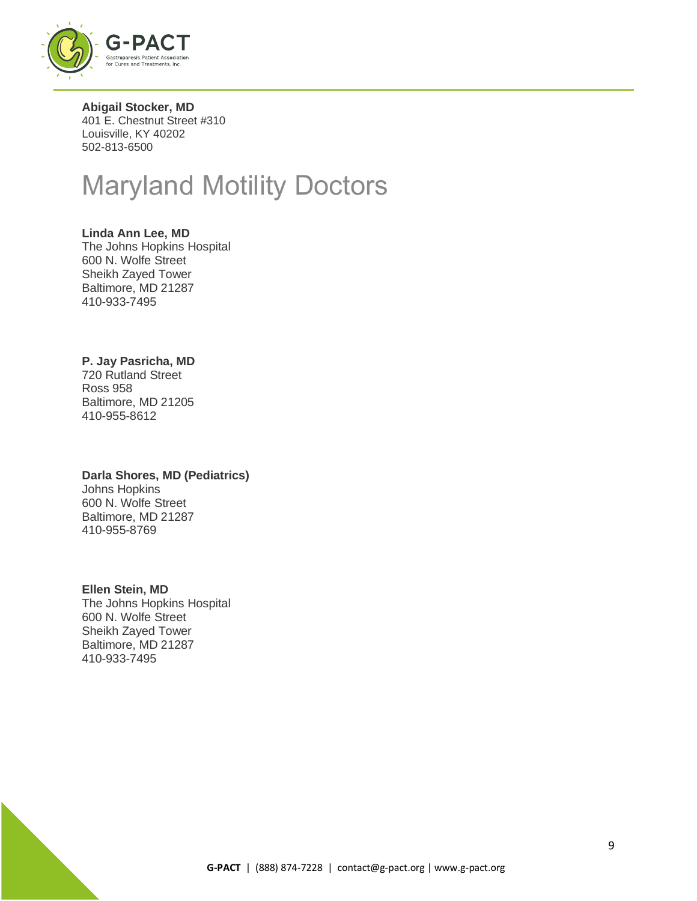

**Abigail Stocker, MD** 401 E. Chestnut Street #310 Louisville, KY 40202 502-813-6500

## Maryland Motility Doctors

#### **Linda Ann Lee, MD**

The Johns Hopkins Hospital 600 N. Wolfe Street Sheikh Zayed Tower Baltimore, MD 21287 410-933-7495

#### **P. Jay Pasricha, MD**

720 Rutland Street Ross 958 Baltimore, MD 21205 410-955-8612

## **Darla Shores, MD (Pediatrics)**

Johns Hopkins 600 N. Wolfe Street Baltimore, MD 21287 410-955-8769

#### **Ellen Stein, MD**

The Johns Hopkins Hospital 600 N. Wolfe Street Sheikh Zayed Tower Baltimore, MD 21287 410-933-7495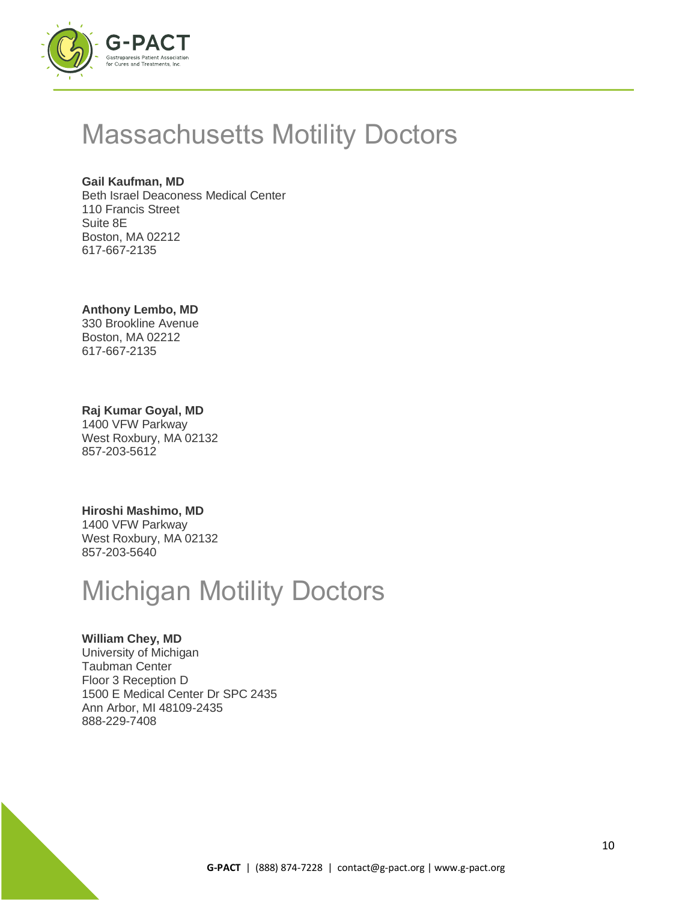

## Massachusetts Motility Doctors

### **Gail Kaufman, MD**

Beth Israel Deaconess Medical Center 110 Francis Street Suite 8E Boston, MA 02212 617-667-2135

### **Anthony Lembo, MD**

330 Brookline Avenue Boston, MA 02212 617-667-2135

### **Raj Kumar Goyal, MD**

1400 VFW Parkway West Roxbury, MA 02132 857-203-5612

#### **Hiroshi Mashimo, MD**

1400 VFW Parkway West Roxbury, MA 02132 857-203-5640

# Michigan Motility Doctors

### **William Chey, MD**

University of Michigan Taubman Center Floor 3 Reception D 1500 E Medical Center Dr SPC 2435 Ann Arbor, MI 48109-2435 888-229-7408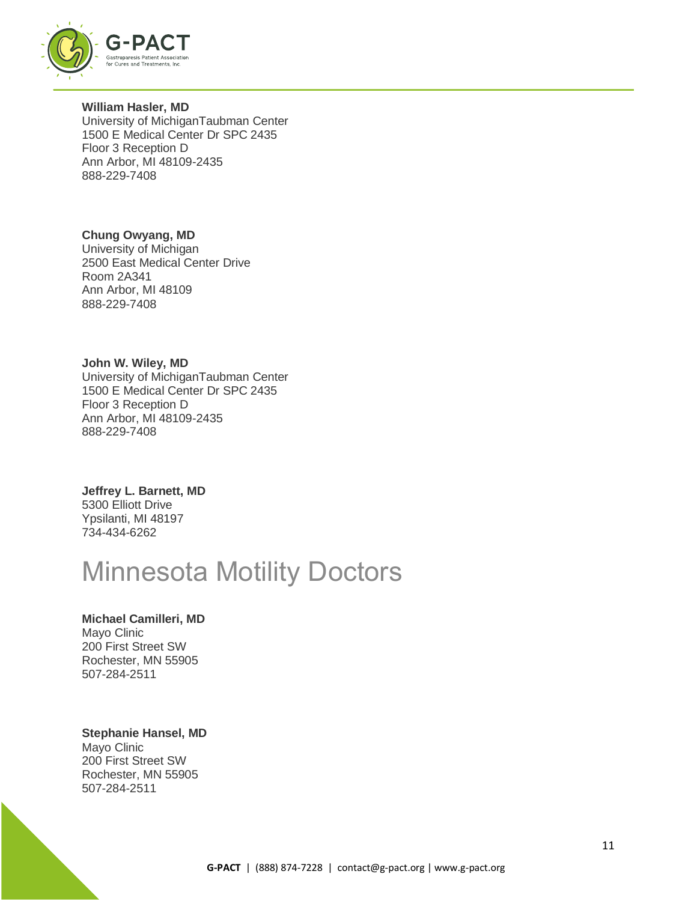

**William Hasler, MD** University of MichiganTaubman Center 1500 E Medical Center Dr SPC 2435 Floor 3 Reception D Ann Arbor, MI 48109-2435 888-229-7408

**Chung Owyang, MD** University of Michigan 2500 East Medical Center Drive Room 2A341 Ann Arbor, MI 48109 888-229-7408

**John W. Wiley, MD** University of MichiganTaubman Center 1500 E Medical Center Dr SPC 2435 Floor 3 Reception D Ann Arbor, MI 48109-2435 888-229-7408

**Jeffrey L. Barnett, MD** 5300 Elliott Drive Ypsilanti, MI 48197 734-434-6262

## Minnesota Motility Doctors

### **Michael Camilleri, MD**

Mayo Clinic 200 First Street SW Rochester, MN 55905 507-284-2511

#### **Stephanie Hansel, MD**

Mayo Clinic 200 First Street SW Rochester, MN 55905 507-284-2511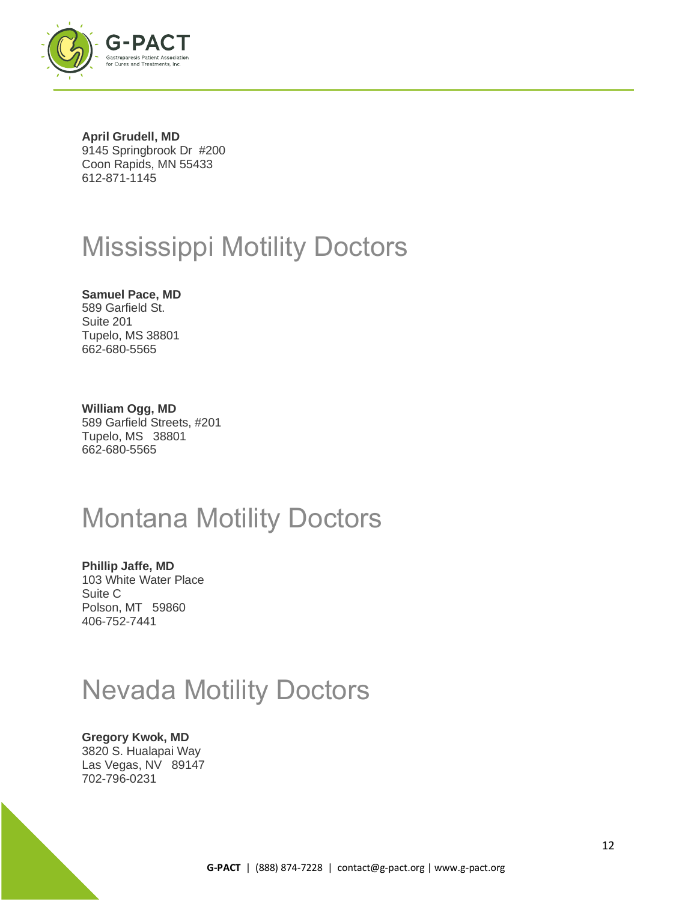

**April Grudell, MD** 9145 Springbrook Dr #200 Coon Rapids, MN 55433 612-871-1145

# Mississippi Motility Doctors

**Samuel Pace, MD** 589 Garfield St. Suite 201 Tupelo, MS 38801 662-680-5565

**William Ogg, MD** 589 Garfield Streets, #201 Tupelo, MS 38801 662-680-5565

## Montana Motility Doctors

**Phillip Jaffe, MD** 103 White Water Place Suite C Polson, MT 59860 406-752-7441

# Nevada Motility Doctors

## **Gregory Kwok, MD**

3820 S. Hualapai Way Las Vegas, NV 89147 702-796-0231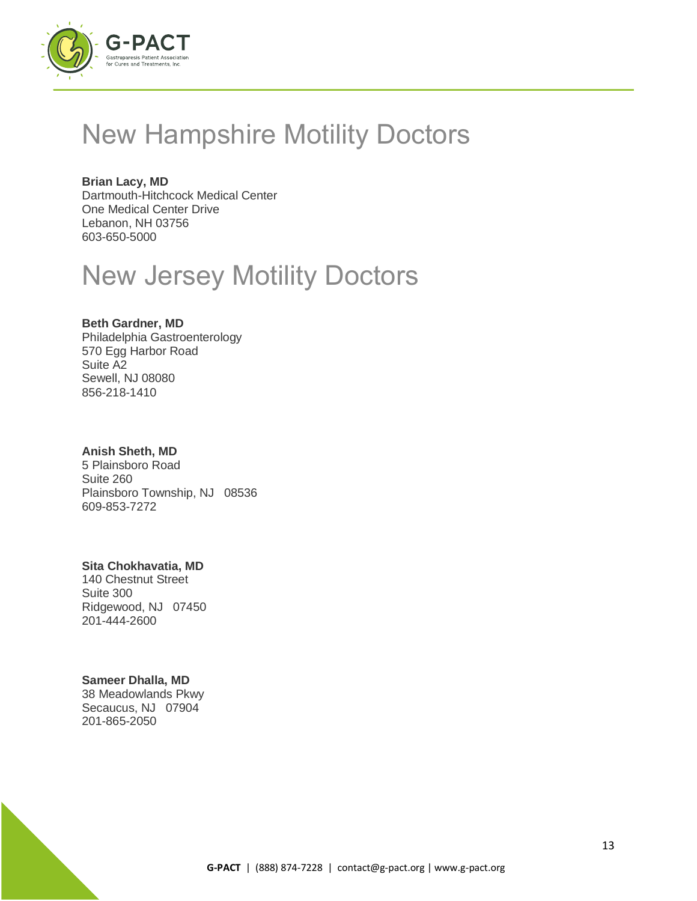

## New Hampshire Motility Doctors

**Brian Lacy, MD** Dartmouth-Hitchcock Medical Center One Medical Center Drive Lebanon, NH 03756 603-650-5000

# New Jersey Motility Doctors

### **Beth Gardner, MD**

Philadelphia Gastroenterology 570 Egg Harbor Road Suite A2 Sewell, NJ 08080 856-218-1410

#### **Anish Sheth, MD**

5 Plainsboro Road Suite 260 Plainsboro Township, NJ 08536 609-853-7272

### **Sita Chokhavatia, MD**

140 Chestnut Street Suite 300 Ridgewood, NJ 07450 201-444-2600

### **Sameer Dhalla, MD**

38 Meadowlands Pkwy Secaucus, NJ 07904 201-865-2050

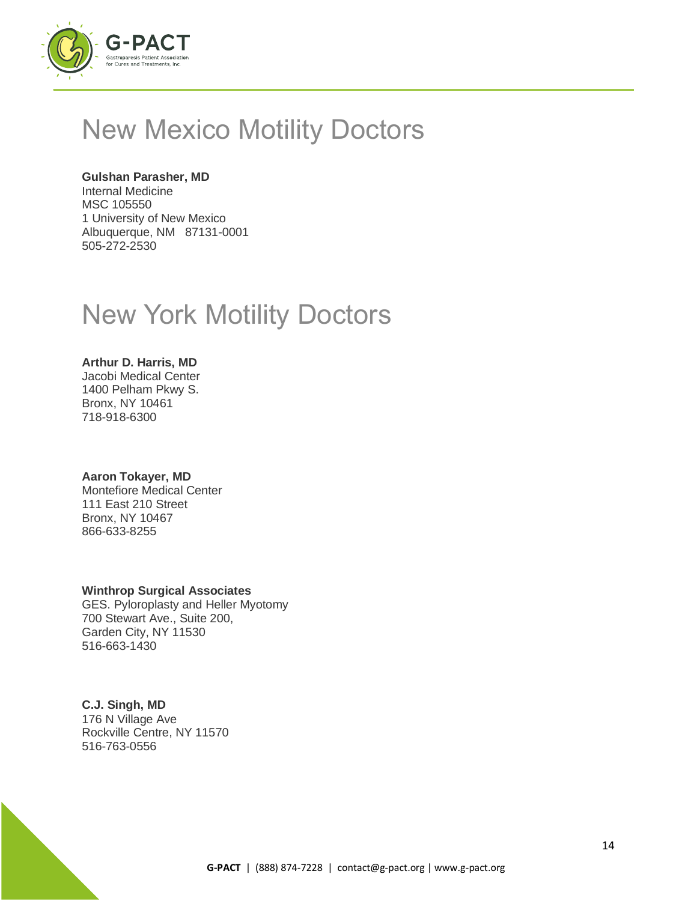

## New Mexico Motility Doctors

### **Gulshan Parasher, MD**

Internal Medicine MSC 105550 1 University of New Mexico Albuquerque, NM 87131-0001 505-272-2530

## New York Motility Doctors

### **Arthur D. Harris, MD**

Jacobi Medical Center 1400 Pelham Pkwy S. Bronx, NY 10461 718-918-6300

### **Aaron Tokayer, MD**

Montefiore Medical Center 111 East 210 Street Bronx, NY 10467 866-633-8255

### **Winthrop Surgical Associates**

GES. Pyloroplasty and Heller Myotomy 700 Stewart Ave., Suite 200, Garden City, NY 11530 516-663-1430

### **C.J. Singh, MD**

176 N Village Ave Rockville Centre, NY 11570 516-763-0556

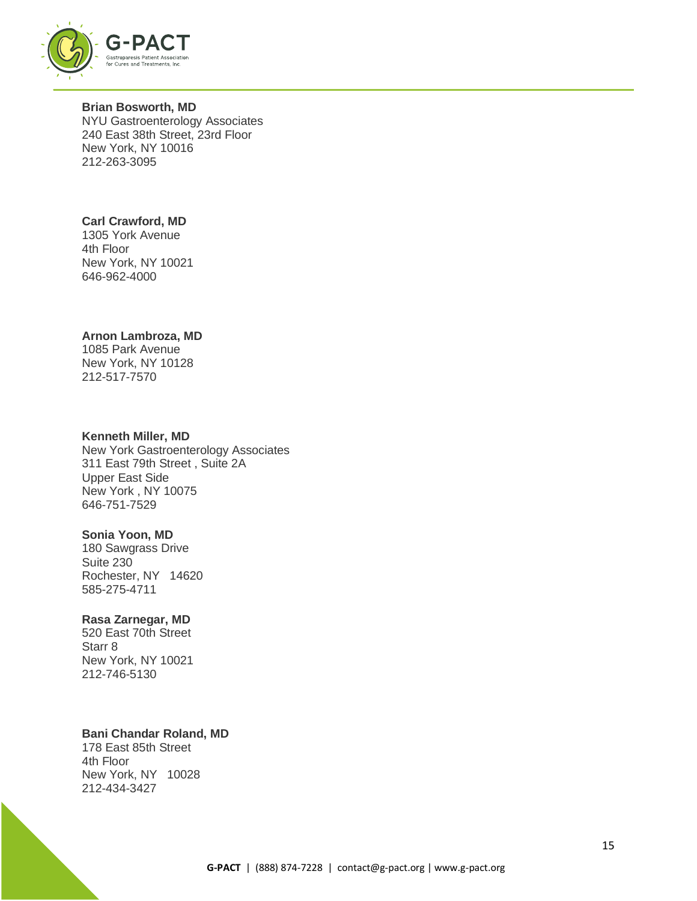

#### **Brian Bosworth, MD** NYU Gastroenterology Associates 240 East 38th Street, 23rd Floor New York, NY 10016

212-263-3095

## **Carl Crawford, MD**

1305 York Avenue 4th Floor New York, NY 10021 646-962-4000

## **Arnon Lambroza, MD**

1085 Park Avenue New York, NY 10128 212-517-7570

### **Kenneth Miller, MD**

New York Gastroenterology Associates 311 East 79th Street , Suite 2A Upper East Side New York , NY 10075 646-751-7529

### **Sonia Yoon, MD**

180 Sawgrass Drive Suite 230 Rochester, NY 14620 585-275-4711

### **Rasa Zarnegar, MD**

520 East 70th Street Starr 8 New York, NY 10021 212-746-5130

### **Bani Chandar Roland, MD**

178 East 85th Street 4th Floor New York, NY 10028 212-434-3427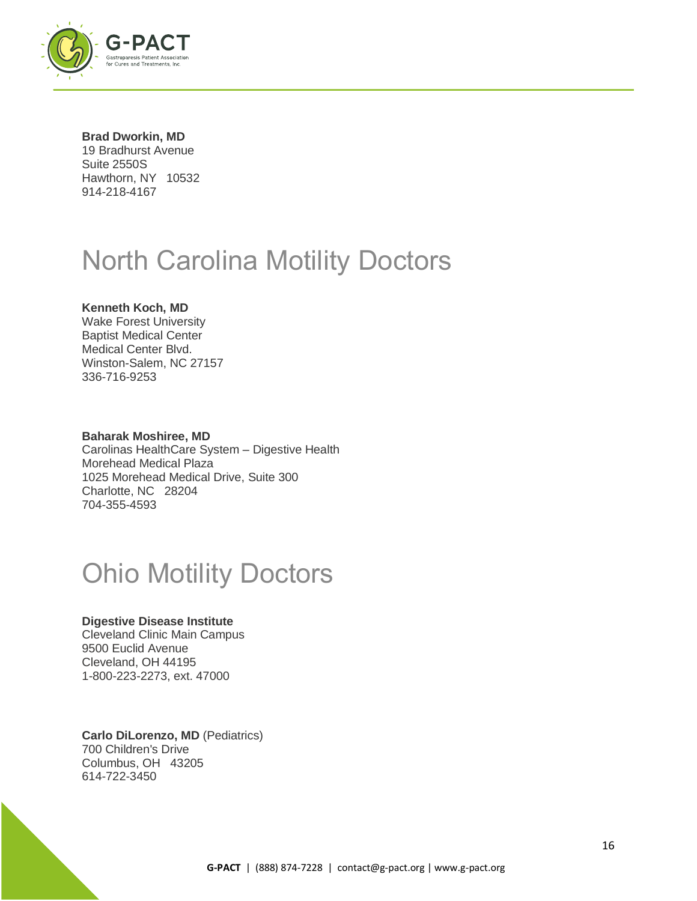

**Brad Dworkin, MD** 19 Bradhurst Avenue Suite 2550S Hawthorn, NY 10532 914-218-4167

## North Carolina Motility Doctors

### **Kenneth Koch, MD**

Wake Forest University Baptist Medical Center Medical Center Blvd. Winston-Salem, NC 27157 336-716-9253

#### **Baharak Moshiree, MD**

Carolinas HealthCare System – Digestive Health Morehead Medical Plaza 1025 Morehead Medical Drive, Suite 300 Charlotte, NC 28204 704-355-4593

## Ohio Motility Doctors

#### **Digestive Disease Institute**

Cleveland Clinic Main Campus 9500 Euclid Avenue Cleveland, OH 44195 1-800-223-2273, ext. 47000

**Carlo DiLorenzo, MD** (Pediatrics) 700 Children's Drive Columbus, OH 43205 614-722-3450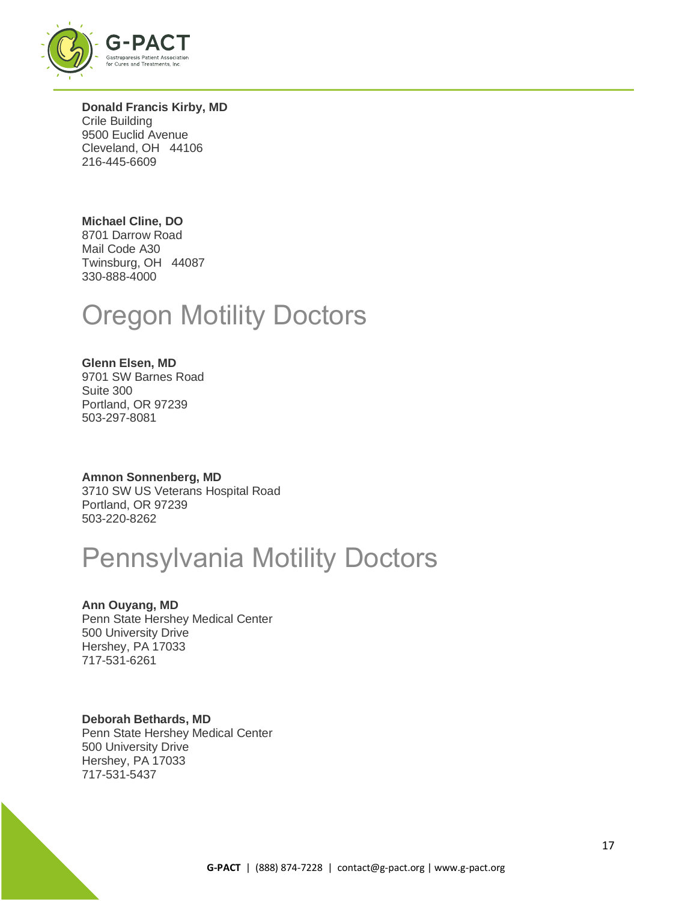

**Donald Francis Kirby, MD** Crile Building 9500 Euclid Avenue Cleveland, OH 44106 216-445-6609

## **Michael Cline, DO**

8701 Darrow Road Mail Code A30 Twinsburg, OH 44087 330-888-4000

## Oregon Motility Doctors

#### **Glenn Elsen, MD** 9701 SW Barnes Road Suite 300 Portland, OR 97239 503-297-8081

#### **Amnon Sonnenberg, MD** 3710 SW US Veterans Hospital Road Portland, OR 97239 503-220-8262

## Pennsylvania Motility Doctors

### **Ann Ouyang, MD**

Penn State Hershey Medical Center 500 University Drive Hershey, PA 17033 717-531-6261

## **Deborah Bethards, MD**

Penn State Hershey Medical Center 500 University Drive Hershey, PA 17033 717-531-5437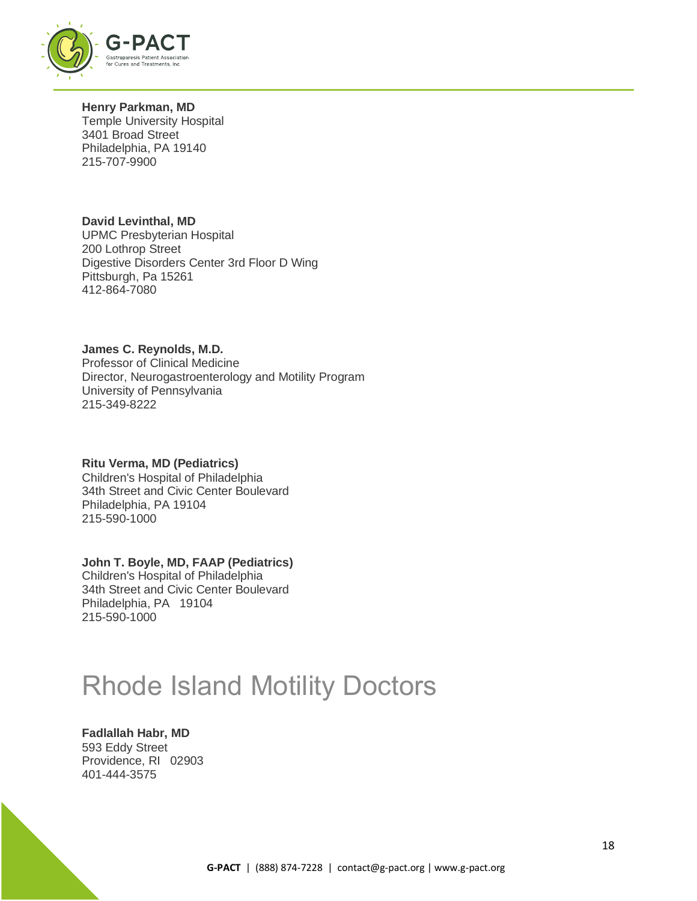

**Henry Parkman, MD** Temple University Hospital 3401 Broad Street Philadelphia, PA 19140 215-707-9900

**David Levinthal, MD** UPMC Presbyterian Hospital 200 Lothrop Street Digestive Disorders Center 3rd Floor D Wing Pittsburgh, Pa 15261 412-864-7080

**James C. Reynolds, M.D.** Professor of Clinical Medicine Director, Neurogastroenterology and Motility Program University of Pennsylvania 215-349-8222

**Ritu Verma, MD (Pediatrics)** Children's Hospital of Philadelphia 34th Street and Civic Center Boulevard Philadelphia, PA 19104 215-590-1000

#### **John T. Boyle, MD, FAAP (Pediatrics)** Children's Hospital of Philadelphia 34th Street and Civic Center Boulevard Philadelphia, PA 19104

Rhode Island Motility Doctors

**Fadlallah Habr, MD** 593 Eddy Street Providence, RI 02903 401-444-3575

215-590-1000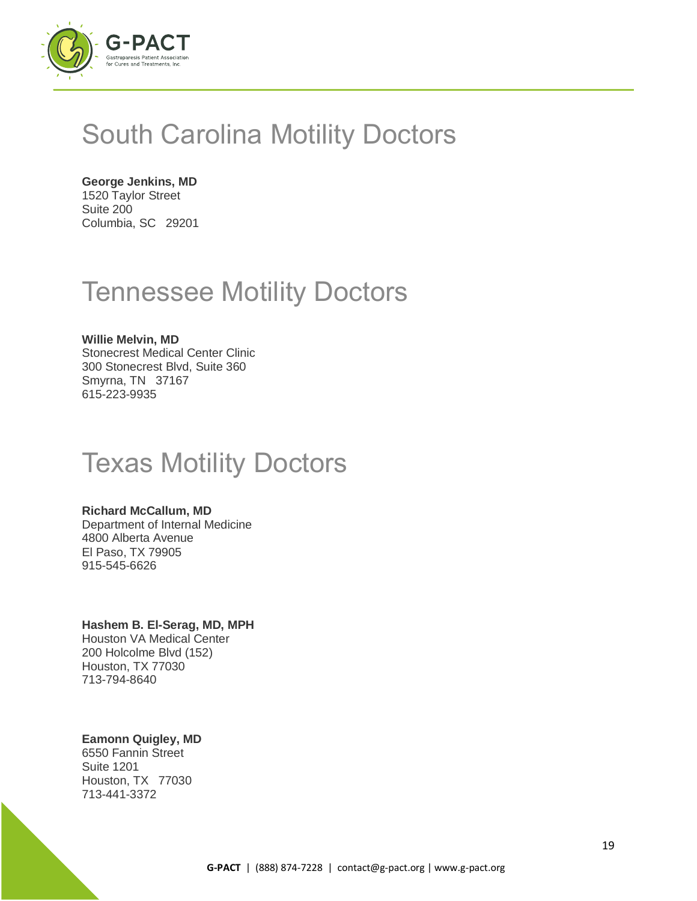

## South Carolina Motility Doctors

**George Jenkins, MD** 1520 Taylor Street

Suite 200 Columbia, SC 29201

## Tennessee Motility Doctors

## **Willie Melvin, MD**

Stonecrest Medical Center Clinic 300 Stonecrest Blvd, Suite 360 Smyrna, TN 37167 615-223-9935

# Texas Motility Doctors

#### **Richard McCallum, MD**

Department of Internal Medicine 4800 Alberta Avenue El Paso, TX 79905 915-545-6626

### **Hashem B. El-Serag, MD, MPH**

Houston VA Medical Center 200 Holcolme Blvd (152) Houston, TX 77030 713-794-8640

### **Eamonn Quigley, MD**

6550 Fannin Street Suite 1201 Houston, TX 77030 713-441-3372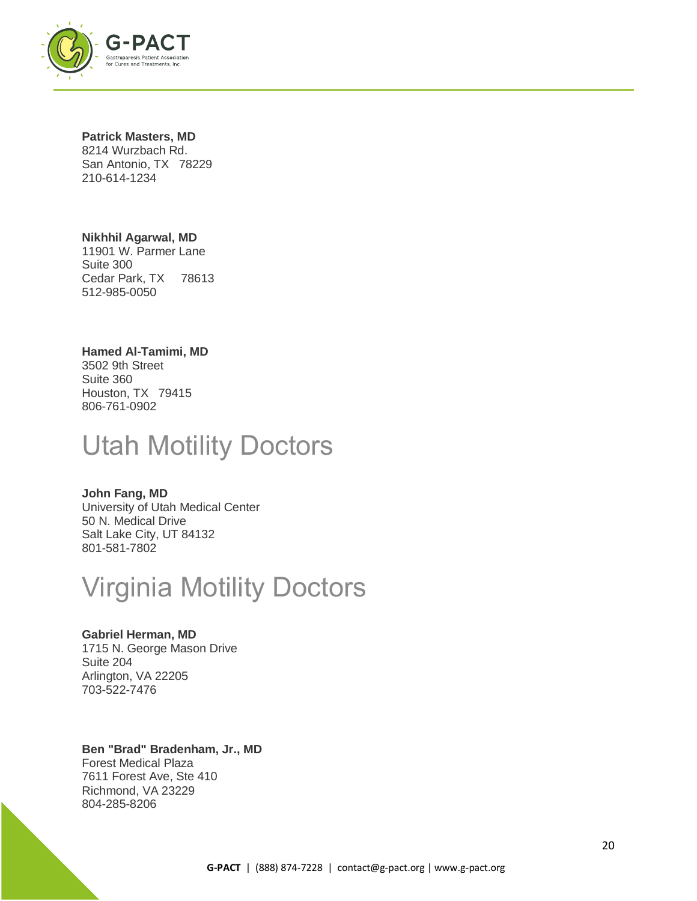

#### **Patrick Masters, MD**

8214 Wurzbach Rd. San Antonio, TX 78229 210-614-1234

### **Nikhhil Agarwal, MD**

11901 W. Parmer Lane Suite 300 Cedar Park, TX 78613 512-985-0050

#### **Hamed Al-Tamimi, MD**

3502 9th Street Suite 360 Houston, TX 79415 806-761-0902

## Utah Motility Doctors

### **John Fang, MD**

University of Utah Medical Center 50 N. Medical Drive Salt Lake City, UT 84132 801-581-7802

## Virginia Motility Doctors

### **Gabriel Herman, MD**

1715 N. George Mason Drive Suite 204 Arlington, VA 22205 703-522-7476

## **Ben "Brad" Bradenham, Jr., MD**

Forest Medical Plaza 7611 Forest Ave, Ste 410 Richmond, VA 23229 804-285-8206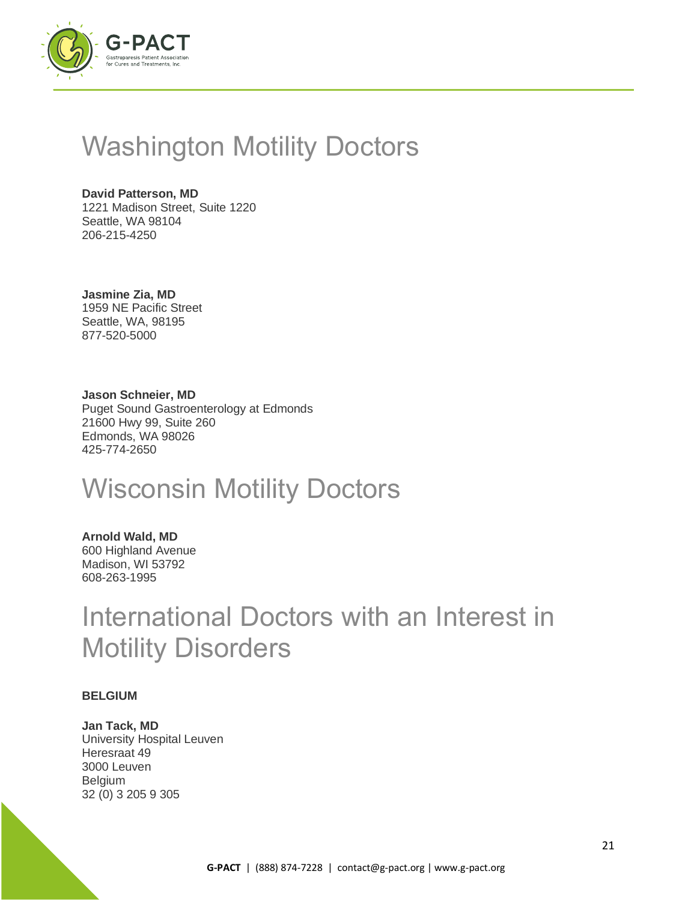

## Washington Motility Doctors

**David Patterson, MD** 1221 Madison Street, Suite 1220 Seattle, WA 98104 206-215-4250

**Jasmine Zia, MD** 1959 NE Pacific Street Seattle, WA, 98195 877-520-5000

**Jason Schneier, MD** Puget Sound Gastroenterology at Edmonds 21600 Hwy 99, Suite 260 Edmonds, WA 98026 425-774-2650

## Wisconsin Motility Doctors

**Arnold Wald, MD** 600 Highland Avenue Madison, WI 53792 608-263-1995

## International Doctors with an Interest in Motility Disorders

#### **BELGIUM**

**Jan Tack, MD** University Hospital Leuven Heresraat 49 3000 Leuven Belgium 32 (0) 3 205 9 305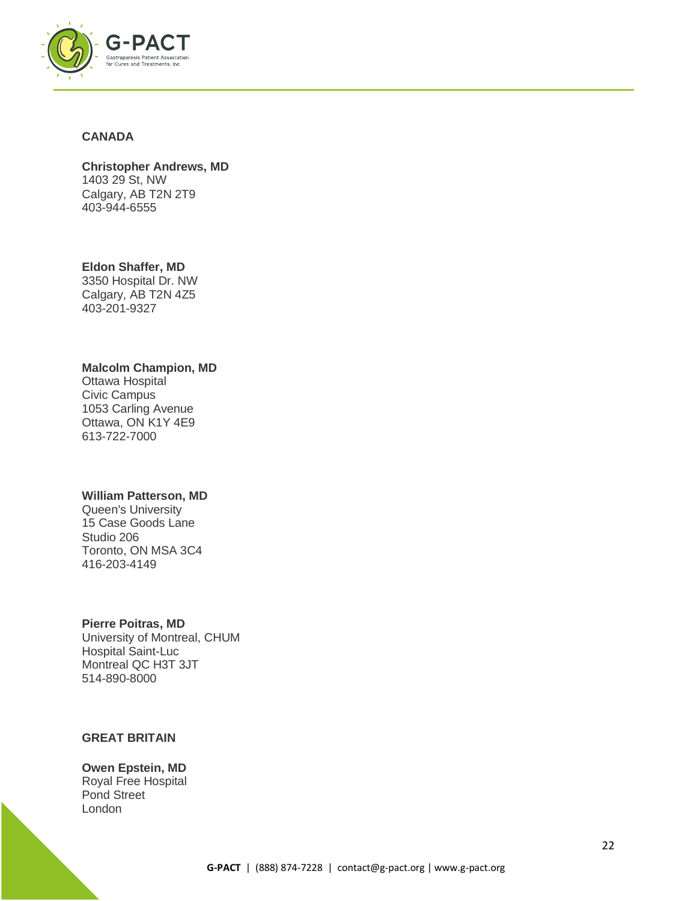

#### **CANADA**

**Christopher Andrews, MD** 1403 29 St, NW Calgary, AB T2N 2T9 403-944-6555

**Eldon Shaffer, MD** 3350 Hospital Dr. NW

Calgary, AB T2N 4Z5 403-201-9327

#### **Malcolm Champion, MD**

Ottawa Hospital Civic Campus 1053 Carling Avenue Ottawa, ON K1Y 4E9 613-722-7000

#### **William Patterson, MD**

Queen's University 15 Case Goods Lane Studio 206 Toronto, ON MSA 3C4 416-203-4149

#### **Pierre Poitras, MD**

University of Montreal, CHUM Hospital Saint-Luc Montreal QC H3T 3JT 514-890-8000

### **GREAT BRITAIN**

**Owen Epstein, MD** Royal Free Hospital Pond Street London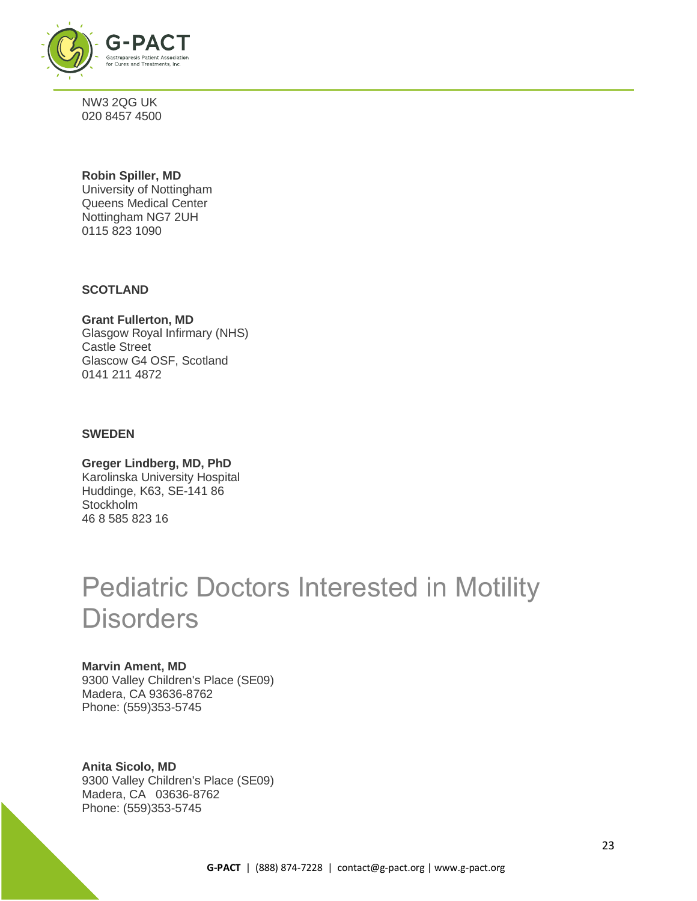

NW3 2QG UK 020 8457 4500

#### **Robin Spiller, MD** University of Nottingham Queens Medical Center Nottingham NG7 2UH 0115 823 1090

**SCOTLAND**

**Grant Fullerton, MD** Glasgow Royal Infirmary (NHS) Castle Street Glascow G4 OSF, Scotland 0141 211 4872

### **SWEDEN**

**Greger Lindberg, MD, PhD** Karolinska University Hospital Huddinge, K63, SE-141 86 **Stockholm** 46 8 585 823 16

## Pediatric Doctors Interested in Motility **Disorders**

#### **Marvin Ament, MD**

9300 Valley Children's Place (SE09) Madera, CA 93636-8762 Phone: (559)353-5745

**Anita Sicolo, MD** 9300 Valley Children's Place (SE09) Madera, CA 03636-8762 Phone: (559)353-5745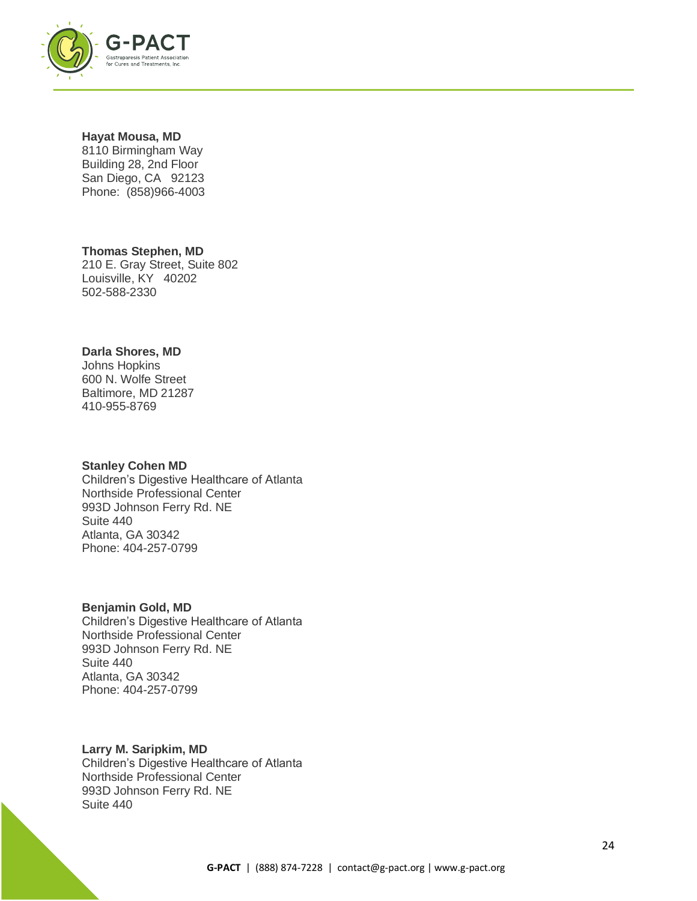

#### **Hayat Mousa, MD**

8110 Birmingham Way Building 28, 2nd Floor San Diego, CA 92123 Phone: (858)966-4003

**Thomas Stephen, MD** 210 E. Gray Street, Suite 802 Louisville, KY 40202 502-588-2330

#### **Darla Shores, MD**

Johns Hopkins 600 N. Wolfe Street Baltimore, MD 21287 410-955-8769

#### **Stanley Cohen MD**

Children's Digestive Healthcare of Atlanta Northside Professional Center 993D Johnson Ferry Rd. NE Suite 440 Atlanta, GA 30342 Phone: 404-257-0799

#### **Benjamin Gold, MD**

Children's Digestive Healthcare of Atlanta Northside Professional Center 993D Johnson Ferry Rd. NE Suite 440 Atlanta, GA 30342 Phone: 404-257-0799

#### **Larry M. Saripkim, MD**

Children's Digestive Healthcare of Atlanta Northside Professional Center 993D Johnson Ferry Rd. NE Suite 440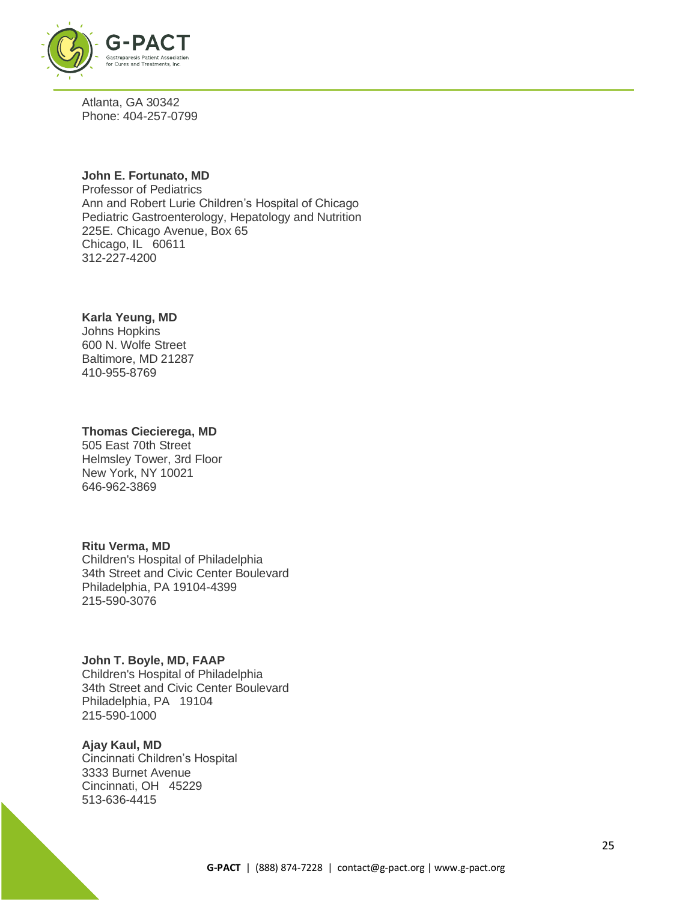

Atlanta, GA 30342 Phone: 404-257-0799

#### **John E. Fortunato, MD**

Professor of Pediatrics Ann and Robert Lurie Children's Hospital of Chicago Pediatric Gastroenterology, Hepatology and Nutrition 225E. Chicago Avenue, Box 65 Chicago, IL 60611 312-227-4200

#### **Karla Yeung, MD**

Johns Hopkins 600 N. Wolfe Street Baltimore, MD 21287 410-955-8769

#### **Thomas Ciecierega, MD**

505 East 70th Street Helmsley Tower, 3rd Floor New York, NY 10021 646-962-3869

#### **Ritu Verma, MD**

Children's Hospital of Philadelphia 34th Street and Civic Center Boulevard Philadelphia, PA 19104-4399 215-590-3076

#### **John T. Boyle, MD, FAAP**

Children's Hospital of Philadelphia 34th Street and Civic Center Boulevard Philadelphia, PA 19104 215-590-1000

#### **Ajay Kaul, MD**

Cincinnati Children's Hospital 3333 Burnet Avenue Cincinnati, OH 45229 513-636-4415